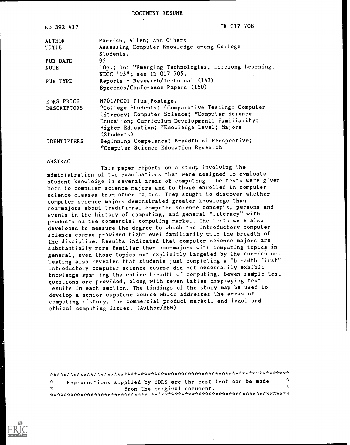DOCUMENT RESUME

| ED 392 417         | IR 017 708                                                                         |
|--------------------|------------------------------------------------------------------------------------|
| <b>AUTHOR</b>      | Parrish, Allen; And Others                                                         |
| TITLE              | Assessing Computer Knowledge among College                                         |
|                    | Students.                                                                          |
| PUB DATE           | 95                                                                                 |
| NOTE               | 10p.; In: "Emerging Technologies, Lifelong Learning,<br>NECC '95": see IR 017 705. |
| PUB TYPE           | Reports - Research/Technical $(143)$ --                                            |
|                    | Speeches/Conference Papers (150)                                                   |
| EDRS PRICE         | MF01/PC01 Plus Postage.                                                            |
| <b>DESCRIPTORS</b> | *College Students; *Comparative Testing; Computer                                  |
|                    | Literacy; Computer Science; *Computer Science                                      |
|                    | Education; Curriculum Development; Familiarity;                                    |
|                    | Higher Education; *Knowledge Level; Majors                                         |
|                    | (Students)                                                                         |
| <b>IDENTIFIERS</b> | Beginning Competence; Breadth of Perspective;                                      |
|                    | *Computer Science Education Research                                               |

#### **ABSTRACT**

This paper reports on a study involving the administration of two examinations that were designed to evaluate student knowledge in several areas of computing. The tests were given both to computer science majors and to those enrolled in computer science classes from other majors. They sought to discover whether computer science majors demonstrated greater knowledge than non-majors about traditional computer science concepts, persons and events in the history of computing, and general "literacy" with products on the commercial computing market. The tests were also developed to measure the degree to which the introductory computer science course provided high-level familiarity with the breadth of the discipline. Results indicated that computer science majors are substantially more familiar than non-majors with computing topics in general, even those topics not explicitly targeted by the curriculum. Testing also revealed that students just completing a "breadth-first" introductory computer science course did not necessarily exhibit knowledge sparning the entire breadth of computing. Seven sample test questions are provided, along with seven tables displaying test results in each section. The findings of the study may be used to develop a senior capstone course which addresses the areas of computing history, the commercial product market, and legal and ethical computing issues. (Author/BEW)

| $\mathbf{x}$ | Reproductions supplied by EDRS are the best that can be made | ή.  |  |  |  |  |
|--------------|--------------------------------------------------------------|-----|--|--|--|--|
| - St         | from the original document.                                  | sk. |  |  |  |  |
|              |                                                              |     |  |  |  |  |

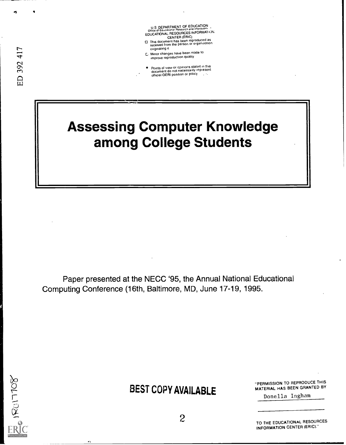U S DEPARTMENT OF EDUCATION<br>Office of Educational Research and improvement<br>EDUCATIONAL RESOURCES INFORMATION CENTER (ERIC)

- CENTER (CRIP)<br>This document has been reproduced as<br>received from the person or organization originating it
- E. Minor changes have been made to improve reproduction quality
- Points of view or opinions stated in this<br>document do not necessarily represent<br>official OERI position or policy

# **Assessing Computer Knowledge** among College Students

Paper presented at the NECC '95, the Annual National Educational Computing Conference (16th, Baltimore, MD, June 17-19, 1995.



# **BEST COPY AVAILABLE**

"PERMISSION TO REPRODUCE THIS MATERIAL HAS BEEN GRANTED BY

Donella Ingham

 $\overline{c}$ 

TO THE EDUCATIONAL RESOURCES INFORMATION CENTER (ERIC)."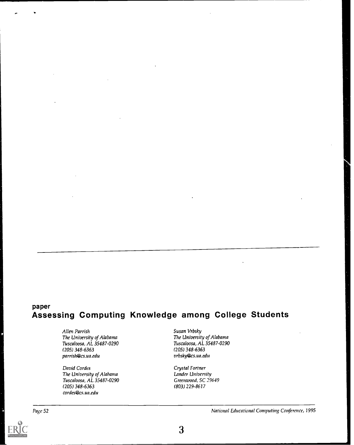# paper<br>Assessing Computing Knowledge among College Students

Allen Parrish The University of Alabama Tuscaloosa, AL 35487-0290 (205) 348-6363 parrish@cs.ua.edu

David Cordes The University of Alabama Tuscaloosa, AL 35487-0290 (205) 348-6363 cordes@cs.ua.edu

Susan Vrbsky The University of Alabama Tuscaloosa, AL 35487-0290 (205) 348-6363 vrbsky@cs.ua.edu

Crystal Fortner Lander University Greenwood, SC 29649 (803) 229-8617

Page 52 National Educational Computing Conference, 1995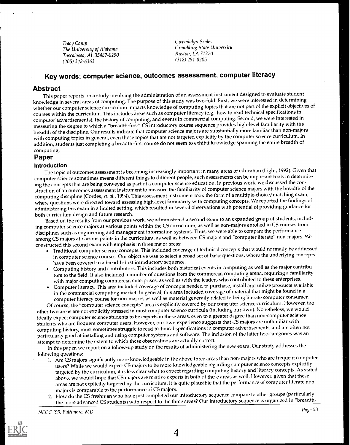Tracy Camp The University of Alabama Tuscaloosa, AL 35487-0290 (205) 348-6363

Gwendolyn Scales Grambling State University Ruston, LA 71270 (318) 251-8205

## Key words: computer science, outcomes assessment, computer literacy

#### Abstract

This paper reports on a study involving the administration of an assessment instrument designed to evaluate student knowledge in several areas of computing. The purpose of this study was two-fold. First, we were interested in determining whether our computer science curriculum impacts knowledge of computing topics that are not part of the explicit objectives of courses within the curriculum. This includes areas such as computer literacy (e.g., how to read technical specifications in computer advertisements), the history of computing, and events in commercial computing. Second, we were interested in measuring the degree to which a "breadth-first" CS introductory course sequence provides high-level familiarity with the breadth of the discipline. Our results indicate that computer science majors are substantially more familiar than non-majors with computing topics in general, even those topics that are not targeted explicitly by the computer science curriculum. In addition, students just completing a breadth-first course do not seem to exhibit knowledge spanningthe entire breadth of computing.

#### Paper

#### Introduction

The topic of outcomes assessment is becoming increasingly important in many areas of education (Light, 1992). Given that computer science sometimes means different things to different people, such assessments can be important tools in determining the concepts that are being conveyed as part of a computer science education. In previous work, we discussed the construction of an outcomes assessment instrument to measure the familiarity of computer science majors with the breadth of the computing discipline (Cordes, et. al., 1994). This assessment instrument took the form of a multiple-choice/matching exam, where questions were directed toward assessing high-level familiarity with computing concepts. We reported the findings of administering this exam in a limited setting, which resulted in several observations with potential of providing guidance for both curriculum design and future research.

Based on the results from our previous work, we administered a second exam to an expanded group of students, including computer science majors at various points within the CS curriculum, as well as non-majors enrolled in CS courses from disciplines such as engineering and management information systems. Thus, we were able to compare the performance among CS majors at various points in the curriculum, as well as between CS majors and "computer literate" non-majors. We constructed this second exam with emphasis in three major areas:

- Traditional computer science concepts. This included coverage of technical concepts that would normally be addressed in computer science courses. Our objective was to select a broad set of basic questions, where the underlying concepts have been covered in a breadth-first introductory sequence.
- Computing history and contributors. This includes both historical events in computing as well as the major contributors to the field. It also included a number of questions from the commercial computing arena, requiring a familiarity with major computing commercial enterprises, as well as with the leaders who contributed to these enterprises.
- Computer literacy. This area included coverage of concepts needed to purchase, install and utilize products available in the commercial computing market. In general, this area included coverage of material that might be found in a computer literacy course for non-majors, as well as material generally related to being literate computer consumer.

Of course, the "computer science concepts" area is explicitly covered by our comf uter science curriculum. However, the other two areas are not explicitly stressed in most computer science curricula (including our own). Nonetheless, we would ideally expect computer science students to be experts in these areas, even to a greater degree than non-computer science students who are frequent computer users. However, our own experience suggeststhat CS majors are unfamiliar with computing history, must sometimes struggle to read technical specifications in computer advertisements, and are often not particularly good at installing and using computer systems and software. The inclusion of the latter two categories was an attempt to determine the extent to which these observations are actually correct.

In this paper, we report on a follow-up study on the results of administering the new exam. Our study addresses the following questions:

- 1. Are CS majors significantly more knowledgeable in the above three areas than non-majors who are frequent computer users? While we would expect CS majors to be more knowledgeable regarding computer science concepts explicitly targeted by the curriculum, it is less clear what to expect regarding computing history and literacy concepts. As stated above, we would hope that CS majors are relative experts in both of these areas as well. However, given that these areas are not explicitly targeted by the curriculum, it is quite plausible that the performance of computer literate nonmajors is comparable to the performance of CS majors.
- 2. How do the CS freshman who have just completed our introductory sequence compare to other groups (particularly the more advanced CS students) with respect to the three areas? Our introductory sequence is organized in "breadth-

NECC '95, Baltimore, MD Page 53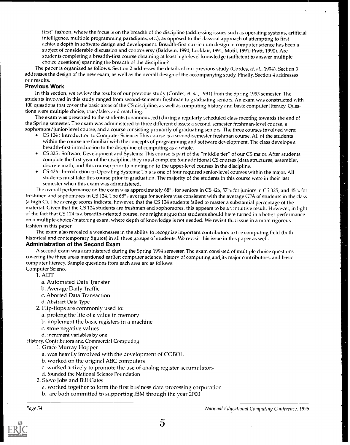first" fashion, where the focus is on the breadth of the discipline (addressing issues such as operating systems, artificial intelligence, multiple programming paradigms, etc.), as opposed to the classical approach of attempting to first achieve depth in software design and development. Breadth-first curriculum design in computer science has been a subject of considerable discussion and controversy (Baldwin, 1990; Locklair, 1991; Motil, 1991; Pratt, 1990). Are students completing a breadth-first course obtaining at least high-level knowledge (sufficient to answer multiple choice questions) spanning the breadth of the discipline?

The paper is organized as follows. Section 2 addresses the details of our previous study (Cordes, et. al., 1994). Section 3 addresses the design of the new exam, as well as the overall design of the accompanying study Finally, Section 4 addresses our results.

#### Previous Work

In this section, we review the results of our previous study (Cordes, et. al., 1994) from the Spring 1993 semester. The students involved in this study ranged from second-semester freshman to graduating seniors. An exam was constructed with 100 questions that cover the basic areas of the CS discipline, as well as computing history and basic computer literacy. Questions were multiple choice, true/false, and matching.

The exam was presented to the students (unannoumed) during a regularly scheduled class meeting towards the end of the Spring semester. The exam was administered to three different classes: a second-semester freshman-level course, a sophomore/junior-level course, and a course consisting primarily of graduating seniors. The three courses involved were:

- CS 124 : Introduction to Computer Science: This course is a second-semester freshman course. All of the students within the course are familiar with the concepts of programming and software development. The class develops a breadth-first introduction to the discipline of computing as a whole.
- CS 325 : Software Development and Systems: This course is part of the "middle tier" of our CS major. After students complete the first year of the discipline, they must complete four additional CS courses (data structures, assembler, discrete math, and this course) prior to moving on to the upper-level courses in the discipline.
- CS 426 : Introduction to Operating Systems: This is one of four required senior-level courses within the major. All students must take this course prior to graduation. The majority of the students in this course were in their last semester when this exam was administered.

The overall performance on the exam was approximately  $68^\circ$  for seniors in CS 426, 57% for juniors in C3 325, and 45% for freshmen and sophomores in CS 124. The 68<sup>°</sup><sub>0</sub> average for seniors was consistent with the average GPA of students in the class (a high C). The average scores indicate, however, that the CS 124 students failed to master a substantial percentage of the material. Given that the CS 124 students are freshmen and sophomores, this appears to be an intuitive result. However, in light of the fact that CS 124 is a breadth-oriented course, one might argue that students should have turned in a better performance on a multiple-choice/matching exam, where depth of knowledge is not needed. We revisit th, a issue in a more rigorous fashion in this paper.

The exam also revealed a weaknesses in the ability to recognize important contributors to the computing field (both historical and contemporary figures) in all three groups of students. We revisit this issue in this r aper as well.

#### Administration of the Second Exam

A second exam was administered during the Spring 1994 semester. The exam consisted of multiple choice questions covering the three areas mentioned earlier: computer science, history of computing and.its major contributors, and basic computer literacy. Sample questions from each area are as follows: Computer Science

- 1. ADT
	- a. Automated Data Transfer
	- b. Average Daily Traffic
	- c. Aborted Data Transaction
	- d. Abstract Data Type
- 2. Flip-flops are commonly used to:
	- a. prolong the life of a value in memory
	- b. implement the basic registers in a machine
	- c. store negative values
- d. increment variables by one
- History, Contributors and Commercial Computing
	- 1. Grace Murray Hopper
		- a. was heavily involved with the development of COBOL
		- b. worked on the original ABC computers
		- c. worked actively to promote the use of analog register accumulators
		- d. founded the National Science Foundation
	- 2. Steve Jobs and Bill Gates
		- a. worked together to form the first business data processing corporation
		- b. are both committed to supporting IBM through the year 2000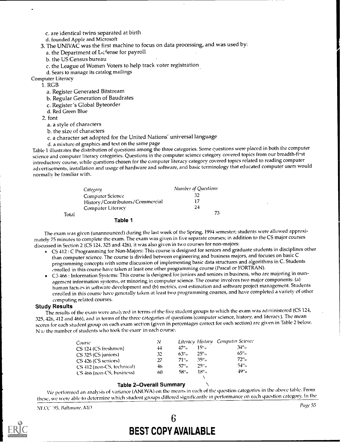c. are identical twins separated at birth

d. founded Apple and Microsoft

3. The UNIVAC was the first machine to focus on data processing, and was used by:

a. the Department of Lefense for payroll

b. the US Census bureau

c. the League of Women Voters to help track voter registration.

d. Sears to manage its catalog mailings

Computer Literacy

1. RGB

a. Register Generated Bitstream

b. Regular Generation of Baudrates

c. Register's Global Byteorder

d. Red Green Blue

2. font

a. a style of characters

b. the size of characters

c. a character set adopted for the United Nations' universal language

d. a mixture of graphics and text on the same page

Table 1 illustrates the distribution of questions among the three categories. Some euestions were placed in both the computer science and computer literacy categories. Questions in the computer science category covered topics from our breadth-fi-st introductory course, while questions chosen for the computer literacy category covered topicsrelated to reading computer advertisements, installation and usage of hardware and software, and basic terminology that educated computer users would normally be familiar with.

|       | Category                        | <b>Number of Questions</b> |
|-------|---------------------------------|----------------------------|
|       | Computer Science                | 32                         |
|       | History/Contributors/Commercial |                            |
|       | Computer Literacy               | 24                         |
| Total |                                 | 73                         |
|       | Table 1                         |                            |

The exam was given (unannounced) during the last week of the Spring, 1994 semester; students were allowed approximately 75 minutes to complete the exam. The exam was given in five separate courses; in addition to the CS major courses discussed in Section 2 (CS 124, 325 and 426), it was also given in two courses for non-majors:

- CS 412 : C Programming for Non-Majors: This course is designed for seniors and graduate students in disciplines other than computer science. The course is divided between engineering and business majors, and focuses on basic C programming concepts with some discussion of implementing basic data structures and algorithms in C. Students enrolled in this course have taken at least one other programming course (Pascal or FORTRAN).
- CS 466 : Information Systems: This course is designed for juniors and seniors in business, who are majoring in management information systems, or minoring in computer science. The course involves two major components: (a) human factors in software development and (b) metrics, cost estimation and software project management. Students enrolled in this course have generally taken at least two programming courses, and have completed a variety of other computing related courses.

## Study Results

The results of the exam were analyzed in terms of the five student groups to which the exam was administered (CS 124, 325, 426, 412 and 466), and in terms of the three categories of questions (computer science, history, and literacy). The mean scores for each student group on each exam section (given in percentages correct for each section) are given in Table 2 below. N 1,5 the number of students who took the exam in each course.

| Course                     | N   |        |                    | Literacy History Computer Science |
|----------------------------|-----|--------|--------------------|-----------------------------------|
| CS 124 (CS freshmen)       | 44  | 47"    | $15°$ a            | $34^{\circ}$ .                    |
| $CS$ 325 (CS juniors)      | 32  | $63\%$ | $25°$ <sub>0</sub> | 65°                               |
| CS 426 (CS seniors)        | 27  | -71°⊕  | $35\%$             | $72\%$                            |
| CS 412 (non-CS, technical) | 46. | 57° a  | 25° a              | 54° o                             |
| CS 466 (non-CS, business)  | 60  | 58° a  | $18^{\circ}$ .     | 49°                               |
|                            |     |        |                    |                                   |

## Table 2-Overall Summary

IVe performed an analysis of variance (ANOVA) on the means in each of the question categories in the above table. From these, we were able to determine which student groups differed significantly in performance on each question category. In the

NLCC<sup>-195</sup>, Baltimore, ML<sup>2</sup> Page 55



# 6 BEST COPY AVAILABLE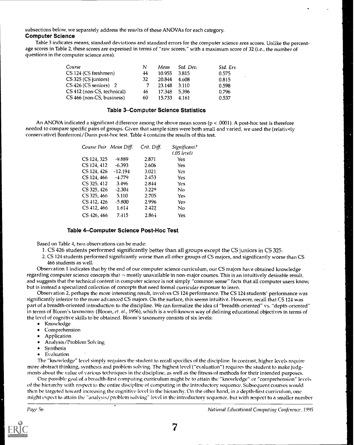subsections below, we separately address the results of these ANOVAs for each category. Computer Science

Table 3 indicates means, standard deviations and standard errors for the computer science area scores. Unlike the percentage scores in Table 2, these scores are expressed in terms of "raw scores," with a maximum score of 32 (i.e., the number of questions in the computer science area).

| Course                     | Ν   | Mean   | Std. Dev. | Std. Err. |
|----------------------------|-----|--------|-----------|-----------|
| CS 124 (CS freshmen)       | 44  | 10.955 | 3.815     | 0.575     |
| CS 325 (CS juniors)        | 32  | 20.844 | 4.608     | 0.815     |
| CS 426 (CS seniors) 2      |     | 23.148 | - 3.110   | 0.598     |
| CS 412 (non-CS, technical) | 46. | 17.348 | 5.396     | 0.796     |
| CS 466 (non-CS, business)  | 60  | 15.733 | 4.161     | 0.537     |

#### Table 3-Computer Science Statistics

An ANOVA indicated a significant difference among the above mean scores ( $p < .0001$ ). A post-hoc test is therefore needed to compare specific pairs of groups. Given that sample sizes were both small and varied, we used the (relatively conservative) Bonferroni/Dunn post-hoc test. Table 4 contains the results of this test.

| Course Pair Mean Diff. |           | Crit. Diff. | Significant?<br>(.05 level) |  |
|------------------------|-----------|-------------|-----------------------------|--|
| CS 124, 325            | -9.889    | 2.871       | Yes                         |  |
| CS 124, 412            | $-6.393$  | 2.606       | Yes                         |  |
| CS 124, 426            | $-12.194$ | 3.021       | Yes                         |  |
| CS 124, 466            | $-4.779$  | 2.453       | <b>Yes</b>                  |  |
| CS 325, 412            | 3.496     | 2.844       | Yes                         |  |
| CS 325, 426            | $-2.304$  | 3.229       | Nο                          |  |
| CS 325, 466            | 5.110     | 2.705       | Yes                         |  |
| CS 412, 426            | $-5.800$  | 2.996       | Yes                         |  |
| CS 412, 466            | 1.614     | 2.422       | No                          |  |
| CS 426, 466            | 7.415     | $2.86 +$    | Yes                         |  |

#### Table 4-Computer Science Post-Hoc Test

Based on Table 4, two observations can be made:

- 1. CS 426 students performed significantly better than all groups except the CS juniors in CS 325.
- 2. CS 124 students performed significantly worse than all other groups of CS majors, and significantly worse than CS 466 students as well.

Observation 1 indicates that by the end of our computer science curriculum, our CS majors have obtained knowledge regarding computer science concepts that is mostly unavailable in non-major courses. This is an intuitively desirable result, and suggests that the technical content in computer science is not simply "common sense" facts that all computer users know, but is instead a specialized collection of concepts that need formal curricular exposure to learn.

Observation 2, perhaps the more interesting result, involves CS 124 performance. The CS 124 students' performance was significantly inferior to the more advanced CS majors. On the surface, this seems intuitive. However, recall that CS 124 was part of a breadth-oriented introduction to the discipline. We can formalize the idea of "breadth-oriented" vs. "depth-oriented" in terms of Bloom's taxonomy (Bloom, et. al., 1956), which is a well-known way of defining educational objectives in terms of the level of cognitive skills to be obtained. Bloom's taxonomy consists of six levels:

- Knowledge
- Comprehension
- Application
- Analysis/Problem Solving
- Synthesis
- **•** Evaluation

The "knowledge" level simply requires the student to recall specifics of the discipline. In contrast, higher levels require more abstract thinking, synthesis and problem solving. The highest level ("evaluation") requires the student to make judgments about the value of various techniques in the discipline, as well as the fitness of methods for their intended purposes.

One possible goal of a breadth-first computing curriculum might be to attain the "knowledge" or "comprehension" levels of the hierarchy with respect to the entire discipline of computing in the introductory sequence. Subsequent courses would then be targeted toward increasing the cognitive level in the hierarchy. On the other hand, in a depth-first curriculum, one might expect to attain the "analysis/problem solving" level in the introductory sequence, but with wspect to a smaller number

l'age 5b National Educational Computing Couferenee, 1995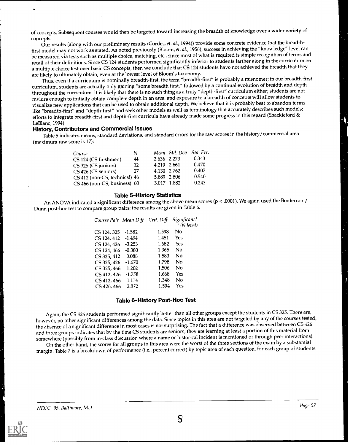of concepts. Subsequent courses would then be targeted toward increasing the breadth of knowledge over a wider variety of concepts.

Our results (along with our preliminary results (Cordes, et. al., 1994)) provide some concrete evidence that the breadthfirst model may not work as stated. As noted previously (Bloom, et. al., 1956), success in achieving the "knowledge" level can be measured via tests such as multiple choice, matching, etc., since most of what is required is simple recognition of terms and recall of their definitions. Since CS 124 students performed significantly inferior to students farther along in the curriculum on a multiple choice test over basic CS concepts, then we conclude that CS 124 students have not achieved the breadth that they are likely to ultimately obtain, even at the lowest level of Bloom's taxonomy.

Thus, even if a curriculum is nominally breadth-first, the term "breadth-first" is probably a misnomer; in dur breadth-first curriculum, students are actually only gaining "some breadth first," followed by a continual evolution of breadth and depth throughout the curriculum. It is likely that there is no such thing as a truly "depth-first" curriculum either; students are not mPture enough to initially obtain complete depth in an area, and exposure to a breadth of concepts will allow students to v:sualize new applications that can be used to obtain additional depth. We believe that it is probably best to abandon terms like "breadth-first" and "depth-first" and seek other models as well as terminology that accurately describes such models; efforts to integrate breadth-first and depth-first curricula have already made some progress in this regard (Shackleford & LeBlanc, 1994).

#### History, Contributors and Commercial Issues

Table 5 indicates means, standard deviations, and standard errors for the raw scores in the history/commercial area (maximum raw score is 17):

| Course                        | N  |             | Mean Std. Dev. Std. Err. |       |
|-------------------------------|----|-------------|--------------------------|-------|
| CS 124 (CS freshmen)          | 44 | 2.636 2.273 |                          | 0.343 |
| CS 325 (CS juniors)           | 32 | 4.219 2.661 |                          | 0.470 |
| CS 426 (CS seniors)           | 27 | 4.130 2.762 |                          | 0.407 |
| CS 412 (non-CS, technical) 46 |    | 5.889 2.806 |                          | 0.540 |
| CS 466 (non-CS, business) 60  |    | 3.017 1.882 |                          | 0.243 |

#### Table 5-History Statistics

An ANOVA indicated a significant difference among the above mean scores (p < .0001). We again used the Bonferroni/ Dunn post-hoc test to compare group pairs; the results are given in Table 6.

|             |          |       | Course Pair Mean Diff. Crit. Diff. Significant?<br>(.05 level) |
|-------------|----------|-------|----------------------------------------------------------------|
| CS 124, 325 | $-1.582$ | 1.598 | Nο                                                             |
| CS 124, 412 | $-1.494$ | 1.451 | Yes                                                            |
| CS 124, 426 | $-3.253$ | 1.682 | Yes                                                            |
| CS 124, 466 | $-0.380$ | 1.365 | No                                                             |
| CS 325, 412 | 0.088    | 1.583 | Nο                                                             |
| CS 325, 426 | $-1.670$ | 1.798 | No                                                             |
| CS 325, 466 | 1.202    | 1.506 | No                                                             |
| CS 412, 426 | $-1.758$ | 1.668 | Yes                                                            |
| CS 412, 466 | 1.114    | 1.348 | Nο                                                             |
| CS 426, 466 | 2.872    | 1.594 | Yes                                                            |

#### Table 6-History Post-Hoc Test

Again, the CS 426 students performed significantly better than all other groups except the students in CS 325. There are, however, no other significant differences among the data. Since topics in this area are not targeted by any of the courses tested, the absence of a significant difference in most cases is not surprising. The fact that a difference was observed between CS 426 and three groups indicates that by the time CS students are seniors, they are learning at least a portion of this material from somewhere (possibly from in-class discussion where a name or historical incident is mentioned or through peer interactions).

On the other hand, the scores for all groups in this area were the worst of the three sections of the exam by a substantial margin. Thble 7 is a breakdown of performance (i.e., percent correct) by topic area of each question, for each group of students.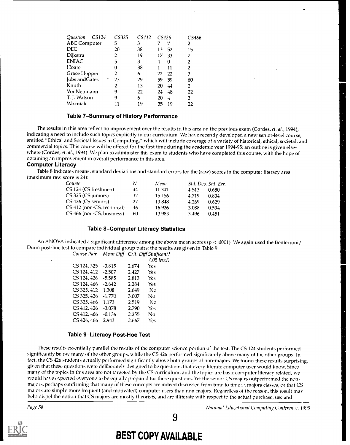| Ouestion            | CS124 | CS325 | CS412 | CS426 |                         | CS466 |
|---------------------|-------|-------|-------|-------|-------------------------|-------|
| <b>ABC</b> Computer |       | 5     | 3     |       |                         | 2     |
| DEC                 |       | 20    | 38    | 13    | 52                      | 15    |
| Dijkstra            |       | 2     | 19    | 17    | 33                      | 7     |
| <b>ENIAC</b>        |       | 5     | 3     | 4     | 0                       | 2     |
| Hoare               |       | 0     | 38    |       | 11                      | 2     |
| Grace Hopper        |       | 2     | 6     | 22    | 22                      | 3     |
| Jobs and Gates      |       | 23    | 29    | 59    | 59                      | 60    |
| Knuth               |       | 2     | 13    | 20    | 44                      | 2     |
| VonNeumann          |       | 9     | 22    | 24    | 48                      | 22    |
| T. J. Watson        |       | 9     | 6     | 20    | $\overline{\mathbf{1}}$ | 3     |
| Wozniak             |       | 11    | 19    | 35    | 19                      | 22    |

#### Table 7-Summary of History Performance

The results in this area reflect no improvement over the results in this area on the previous exam (Cordes, et. al., 1994), indicating a need to include such topics explicitly in our curriculum. We have recently developed a new senior-level course, entitled "Ethical and Societal Issues in Computing," which will include coverage of a variety of historical, ethical, societal, and commercial topics. This course will be offered for the first time during the academic year 1994-95; an outline is given elsewhere (Cordes, et. al., 1994). We plan to administer this exam to students who have completed this course, with the hope of obtaining an improvement in overall performance in this area.

#### Computer Literacy

Table 8 indicates means, standard deviations and standard errors for the (raw) scores in the computer literacy area (maximum raw score is 24):

| Course                     | N  | Mean   |       | Std. Dev. Std. Err. |
|----------------------------|----|--------|-------|---------------------|
| CS 124 (CS freshmen)       | 44 | 11.341 | 4.513 | 0.680               |
| CS 325 (CS juniors)        | 32 | 15.156 | 4.719 | 0.834               |
| CS 426 (CS seniors)        | 27 | 13.848 | 4.269 | 0.629               |
| CS 412 (non-CS, technical) | 46 | 16.926 | 3.088 | 0.594               |
| CS 466 (non-CS, business)  | 60 | 13.983 | 3.496 | 0.451               |

#### Table 8-Computer Literacy Statistics

An ANOVA indicated a significant difference among the above mean scores (p < .0001). We again used the Bonferroni/ Dunn post-hoc test to compare individual group pairs; the results are given in Table 9. Course Pair Mean Diff Crit. Diff Sinificant?

|                   |          |       | $(.05$ level) |  |
|-------------------|----------|-------|---------------|--|
| CS 124, 325       | $-3.815$ | 2.674 | Yes           |  |
| CS 124, 412       | $-2.507$ | 2.427 | Yes           |  |
| CS 124, 426       | $-5.585$ | 2.813 | Yes.          |  |
| CS 124, 466       | $-2.642$ | 2.284 | Yes           |  |
| CS 325, 412 1.308 |          | 2.649 | <b>No</b>     |  |
| CS 325, 426       | $-1.770$ | 3.007 | No            |  |
| CS 325, 466       | 1.173    | 2.519 | No            |  |
| CS 412, 426       | $-3.078$ | 2.790 | Yes           |  |
| CS 412, 466       | $-0.136$ | 2.255 | No            |  |
| CS 426, 466       | 2.943    | 2.667 | Yes           |  |
|                   |          |       |               |  |

#### Table 9-Literacy Post-Hoc Test

These results essentially parallel the results of the computer science portion of the test. The CS 124 students performed significantly below many of the other groups, while the CS 426 performed significantly above many of the other groups. In fact, the CS 426 students actually performed significantly above both groups of non-majors. We found these results surprising, given that these questions were deliberately designed to be questions that every literate computer user would know. Since many of the topics in this area are not targeted by the CS curriculum, and the topics are basic computer literacy related, we would have expected everyone to be equally prepared for these questions. Yet the senior CS majers outperformed the nonmajors, perhaps confirming that many of these concepts are indeed discussed from time to time i majors classes, or that CS majors are simply more frequent (and motivated) computer users than non-majors. Regardless 01 the reason, this result may help dispel the notion that CS majors are mostly theorists, and are illiterate with respect to the actual purchase, use and



9

# BEST COPY AVAILABLE

Page 58 Natioital Educational Computing Conference, 1995